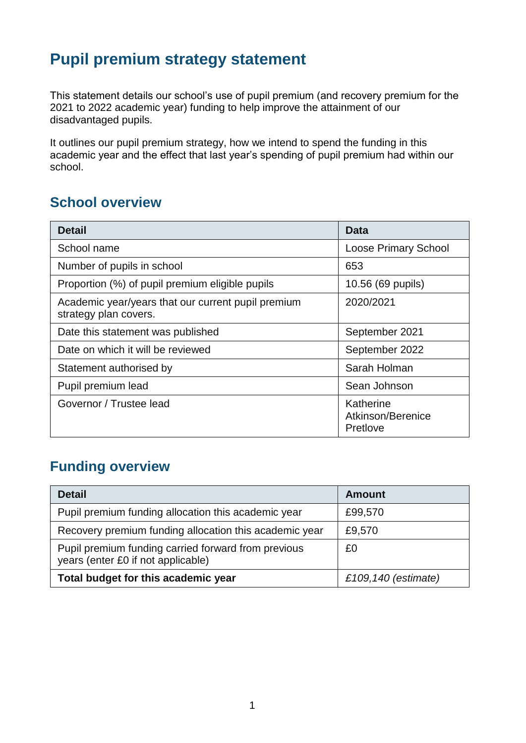## **Pupil premium strategy statement**

This statement details our school's use of pupil premium (and recovery premium for the 2021 to 2022 academic year) funding to help improve the attainment of our disadvantaged pupils.

It outlines our pupil premium strategy, how we intend to spend the funding in this academic year and the effect that last year's spending of pupil premium had within our school.

#### **School overview**

| <b>Detail</b>                                                               | <b>Data</b>                                |
|-----------------------------------------------------------------------------|--------------------------------------------|
| School name                                                                 | <b>Loose Primary School</b>                |
| Number of pupils in school                                                  | 653                                        |
| Proportion (%) of pupil premium eligible pupils                             | 10.56 (69 pupils)                          |
| Academic year/years that our current pupil premium<br>strategy plan covers. | 2020/2021                                  |
| Date this statement was published                                           | September 2021                             |
| Date on which it will be reviewed                                           | September 2022                             |
| Statement authorised by                                                     | Sarah Holman                               |
| Pupil premium lead                                                          | Sean Johnson                               |
| Governor / Trustee lead                                                     | Katherine<br>Atkinson/Berenice<br>Pretlove |

#### **Funding overview**

| <b>Detail</b>                                                                             | <b>Amount</b>       |
|-------------------------------------------------------------------------------------------|---------------------|
| Pupil premium funding allocation this academic year                                       | £99,570             |
| Recovery premium funding allocation this academic year                                    | £9,570              |
| Pupil premium funding carried forward from previous<br>years (enter £0 if not applicable) | £0                  |
| Total budget for this academic year                                                       | £109,140 (estimate) |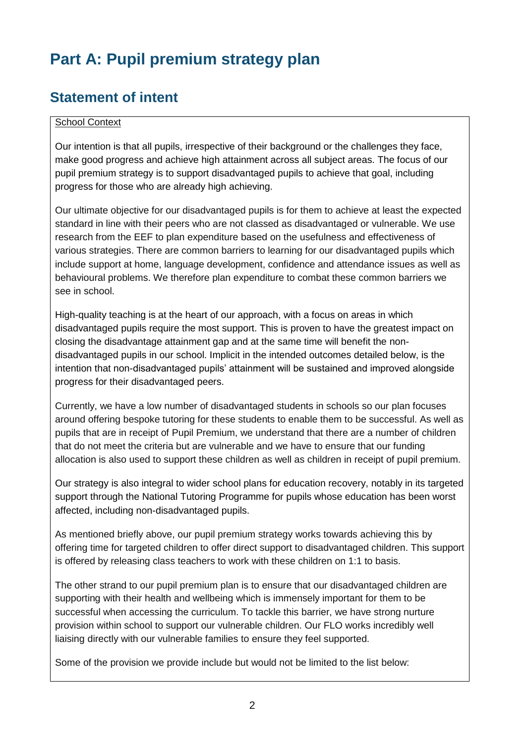# **Part A: Pupil premium strategy plan**

## **Statement of intent**

#### School Context

Our intention is that all pupils, irrespective of their background or the challenges they face, make good progress and achieve high attainment across all subject areas. The focus of our pupil premium strategy is to support disadvantaged pupils to achieve that goal, including progress for those who are already high achieving.

Our ultimate objective for our disadvantaged pupils is for them to achieve at least the expected standard in line with their peers who are not classed as disadvantaged or vulnerable. We use research from the EEF to plan expenditure based on the usefulness and effectiveness of various strategies. There are common barriers to learning for our disadvantaged pupils which include support at home, language development, confidence and attendance issues as well as behavioural problems. We therefore plan expenditure to combat these common barriers we see in school.

High-quality teaching is at the heart of our approach, with a focus on areas in which disadvantaged pupils require the most support. This is proven to have the greatest impact on closing the disadvantage attainment gap and at the same time will benefit the nondisadvantaged pupils in our school. Implicit in the intended outcomes detailed below, is the intention that non-disadvantaged pupils' attainment will be sustained and improved alongside progress for their disadvantaged peers.

Currently, we have a low number of disadvantaged students in schools so our plan focuses around offering bespoke tutoring for these students to enable them to be successful. As well as pupils that are in receipt of Pupil Premium, we understand that there are a number of children that do not meet the criteria but are vulnerable and we have to ensure that our funding allocation is also used to support these children as well as children in receipt of pupil premium.

Our strategy is also integral to wider school plans for education recovery, notably in its targeted support through the National Tutoring Programme for pupils whose education has been worst affected, including non-disadvantaged pupils.

As mentioned briefly above, our pupil premium strategy works towards achieving this by offering time for targeted children to offer direct support to disadvantaged children. This support is offered by releasing class teachers to work with these children on 1:1 to basis.

The other strand to our pupil premium plan is to ensure that our disadvantaged children are supporting with their health and wellbeing which is immensely important for them to be successful when accessing the curriculum. To tackle this barrier, we have strong nurture provision within school to support our vulnerable children. Our FLO works incredibly well liaising directly with our vulnerable families to ensure they feel supported.

Some of the provision we provide include but would not be limited to the list below: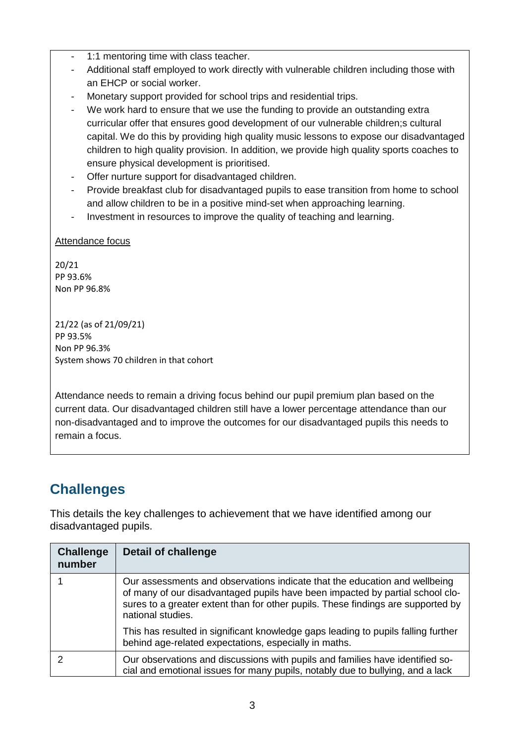- 1:1 mentoring time with class teacher.
- Additional staff employed to work directly with vulnerable children including those with an EHCP or social worker.
- Monetary support provided for school trips and residential trips.
- We work hard to ensure that we use the funding to provide an outstanding extra curricular offer that ensures good development of our vulnerable children;s cultural capital. We do this by providing high quality music lessons to expose our disadvantaged children to high quality provision. In addition, we provide high quality sports coaches to ensure physical development is prioritised.
- Offer nurture support for disadvantaged children.
- Provide breakfast club for disadvantaged pupils to ease transition from home to school and allow children to be in a positive mind-set when approaching learning.
- Investment in resources to improve the quality of teaching and learning.

Attendance focus

20/21 PP 93.6% Non PP 96.8%

21/22 (as of 21/09/21) PP 93.5% Non PP 96.3% System shows 70 children in that cohort

Attendance needs to remain a driving focus behind our pupil premium plan based on the current data. Our disadvantaged children still have a lower percentage attendance than our non-disadvantaged and to improve the outcomes for our disadvantaged pupils this needs to remain a focus.

## **Challenges**

This details the key challenges to achievement that we have identified among our disadvantaged pupils.

| <b>Challenge</b><br>number | Detail of challenge                                                                                                                                                                                                                                                  |
|----------------------------|----------------------------------------------------------------------------------------------------------------------------------------------------------------------------------------------------------------------------------------------------------------------|
|                            | Our assessments and observations indicate that the education and wellbeing<br>of many of our disadvantaged pupils have been impacted by partial school clo-<br>sures to a greater extent than for other pupils. These findings are supported by<br>national studies. |
|                            | This has resulted in significant knowledge gaps leading to pupils falling further<br>behind age-related expectations, especially in maths.                                                                                                                           |
|                            | Our observations and discussions with pupils and families have identified so-<br>cial and emotional issues for many pupils, notably due to bullying, and a lack                                                                                                      |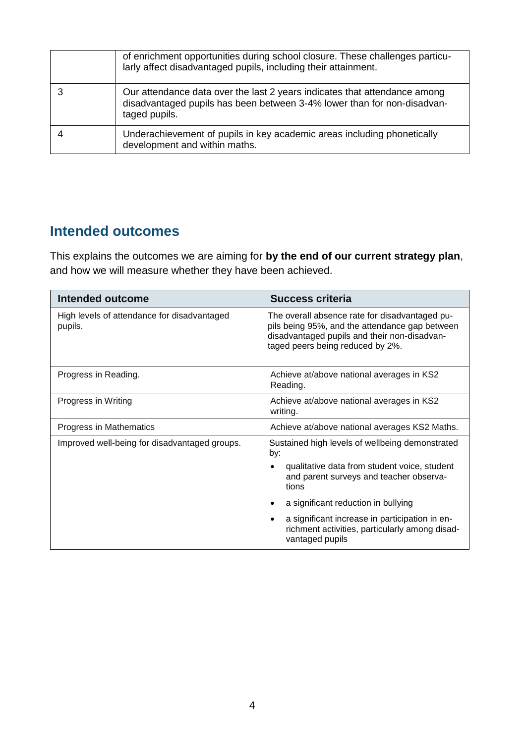| of enrichment opportunities during school closure. These challenges particu-<br>larly affect disadvantaged pupils, including their attainment.                        |
|-----------------------------------------------------------------------------------------------------------------------------------------------------------------------|
| Our attendance data over the last 2 years indicates that attendance among<br>disadvantaged pupils has been between 3-4% lower than for non-disadvan-<br>taged pupils. |
| Underachievement of pupils in key academic areas including phonetically<br>development and within maths.                                                              |

## **Intended outcomes**

This explains the outcomes we are aiming for **by the end of our current strategy plan**, and how we will measure whether they have been achieved.

| <b>Intended outcome</b>                                | Success criteria                                                                                                                                                                     |
|--------------------------------------------------------|--------------------------------------------------------------------------------------------------------------------------------------------------------------------------------------|
| High levels of attendance for disadvantaged<br>pupils. | The overall absence rate for disadvantaged pu-<br>pils being 95%, and the attendance gap between<br>disadvantaged pupils and their non-disadvan-<br>taged peers being reduced by 2%. |
| Progress in Reading.                                   | Achieve at/above national averages in KS2<br>Reading.                                                                                                                                |
| Progress in Writing                                    | Achieve at/above national averages in KS2<br>writing.                                                                                                                                |
| Progress in Mathematics                                | Achieve at/above national averages KS2 Maths.                                                                                                                                        |
| Improved well-being for disadvantaged groups.          | Sustained high levels of wellbeing demonstrated<br>by:                                                                                                                               |
|                                                        | qualitative data from student voice, student<br>and parent surveys and teacher observa-<br>tions                                                                                     |
|                                                        | a significant reduction in bullying                                                                                                                                                  |
|                                                        | a significant increase in participation in en-<br>$\bullet$<br>richment activities, particularly among disad-<br>vantaged pupils                                                     |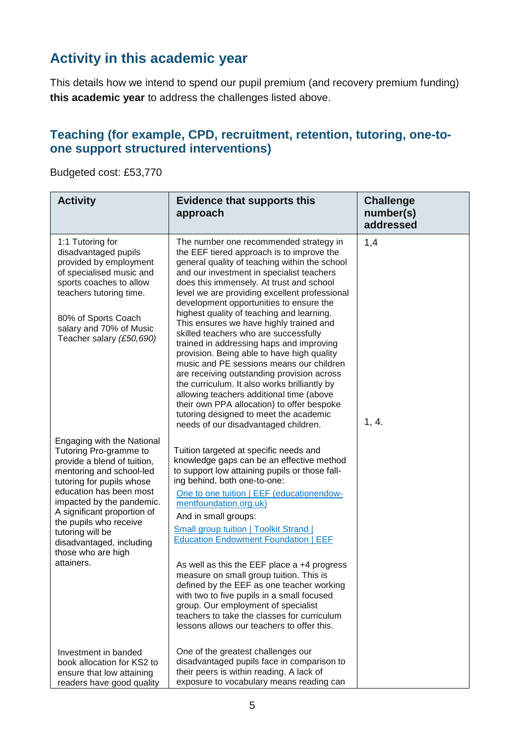## **Activity in this academic year**

This details how we intend to spend our pupil premium (and recovery premium funding) **this academic year** to address the challenges listed above.

#### **Teaching (for example, CPD, recruitment, retention, tutoring, one-toone support structured interventions)**

Budgeted cost: £53,770

| <b>Activity</b>                                                                                                                                                                                                                                                                                                                                   | <b>Evidence that supports this</b><br>approach                                                                                                                                                                                                                                                                                                                                                                                                                                                                                                                                                                                                                                                                                                                                                                                                                             | <b>Challenge</b><br>number(s)<br>addressed |
|---------------------------------------------------------------------------------------------------------------------------------------------------------------------------------------------------------------------------------------------------------------------------------------------------------------------------------------------------|----------------------------------------------------------------------------------------------------------------------------------------------------------------------------------------------------------------------------------------------------------------------------------------------------------------------------------------------------------------------------------------------------------------------------------------------------------------------------------------------------------------------------------------------------------------------------------------------------------------------------------------------------------------------------------------------------------------------------------------------------------------------------------------------------------------------------------------------------------------------------|--------------------------------------------|
| 1:1 Tutoring for<br>disadvantaged pupils<br>provided by employment<br>of specialised music and<br>sports coaches to allow<br>teachers tutoring time.<br>80% of Sports Coach<br>salary and 70% of Music<br>Teacher salary (£50,690)                                                                                                                | The number one recommended strategy in<br>the EEF tiered approach is to improve the<br>general quality of teaching within the school<br>and our investment in specialist teachers<br>does this immensely. At trust and school<br>level we are providing excellent professional<br>development opportunities to ensure the<br>highest quality of teaching and learning.<br>This ensures we have highly trained and<br>skilled teachers who are successfully<br>trained in addressing haps and improving<br>provision. Being able to have high quality<br>music and PE sessions means our children<br>are receiving outstanding provision across<br>the curriculum. It also works brilliantly by<br>allowing teachers additional time (above<br>their own PPA allocation) to offer bespoke<br>tutoring designed to meet the academic<br>needs of our disadvantaged children. | 1,4<br>1, 4.                               |
| Engaging with the National<br>Tutoring Pro-gramme to<br>provide a blend of tuition,<br>mentoring and school-led<br>tutoring for pupils whose<br>education has been most<br>impacted by the pandemic.<br>A significant proportion of<br>the pupils who receive<br>tutoring will be<br>disadvantaged, including<br>those who are high<br>attainers. | Tuition targeted at specific needs and<br>knowledge gaps can be an effective method<br>to support low attaining pupils or those fall-<br>ing behind, both one-to-one:<br>One to one tuition   EEF (educationendow-<br>mentfoundation.org.uk)<br>And in small groups:<br><b>Small group tuition   Toolkit Strand  </b><br><b>Education Endowment Foundation   EEF</b><br>As well as this the EEF place $a + 4$ progress<br>measure on small group tuition. This is<br>defined by the EEF as one teacher working<br>with two to five pupils in a small focused<br>group. Our employment of specialist<br>teachers to take the classes for curriculum<br>lessons allows our teachers to offer this.                                                                                                                                                                           |                                            |
| Investment in banded<br>book allocation for KS2 to<br>ensure that low attaining<br>readers have good quality                                                                                                                                                                                                                                      | One of the greatest challenges our<br>disadvantaged pupils face in comparison to<br>their peers is within reading. A lack of<br>exposure to vocabulary means reading can                                                                                                                                                                                                                                                                                                                                                                                                                                                                                                                                                                                                                                                                                                   |                                            |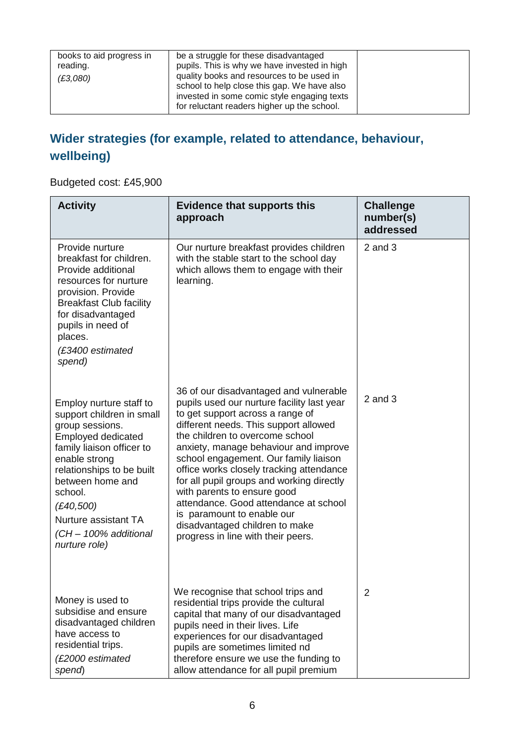| books to aid progress in<br>reading.<br>(E3,080) | be a struggle for these disadvantaged<br>pupils. This is why we have invested in high<br>quality books and resources to be used in        |  |
|--------------------------------------------------|-------------------------------------------------------------------------------------------------------------------------------------------|--|
|                                                  | school to help close this gap. We have also<br>invested in some comic style engaging texts<br>for reluctant readers higher up the school. |  |

### **Wider strategies (for example, related to attendance, behaviour, wellbeing)**

Budgeted cost: £45,900

| <b>Activity</b>                                                                                                                                                                                                                                                                               | <b>Evidence that supports this</b><br>approach                                                                                                                                                                                                                                                                                                                                                                                                                                                                                                                | <b>Challenge</b><br>number(s)<br>addressed |
|-----------------------------------------------------------------------------------------------------------------------------------------------------------------------------------------------------------------------------------------------------------------------------------------------|---------------------------------------------------------------------------------------------------------------------------------------------------------------------------------------------------------------------------------------------------------------------------------------------------------------------------------------------------------------------------------------------------------------------------------------------------------------------------------------------------------------------------------------------------------------|--------------------------------------------|
| Provide nurture<br>breakfast for children.<br>Provide additional<br>resources for nurture<br>provision. Provide<br><b>Breakfast Club facility</b><br>for disadvantaged<br>pupils in need of<br>places.<br>(£3400 estimated<br>spend)                                                          | Our nurture breakfast provides children<br>with the stable start to the school day<br>which allows them to engage with their<br>learning.                                                                                                                                                                                                                                                                                                                                                                                                                     | $2$ and $3$                                |
| Employ nurture staff to<br>support children in small<br>group sessions.<br><b>Employed dedicated</b><br>family liaison officer to<br>enable strong<br>relationships to be built<br>between home and<br>school.<br>(E40,500)<br>Nurture assistant TA<br>(CH - 100% additional<br>nurture role) | 36 of our disadvantaged and vulnerable<br>pupils used our nurture facility last year<br>to get support across a range of<br>different needs. This support allowed<br>the children to overcome school<br>anxiety, manage behaviour and improve<br>school engagement. Our family liaison<br>office works closely tracking attendance<br>for all pupil groups and working directly<br>with parents to ensure good<br>attendance. Good attendance at school<br>is paramount to enable our<br>disadvantaged children to make<br>progress in line with their peers. | $2$ and $3$                                |
| Money is used to<br>subsidise and ensure<br>disadvantaged children<br>have access to<br>residential trips.<br>(£2000 estimated<br>spend)                                                                                                                                                      | We recognise that school trips and<br>residential trips provide the cultural<br>capital that many of our disadvantaged<br>pupils need in their lives. Life<br>experiences for our disadvantaged<br>pupils are sometimes limited nd<br>therefore ensure we use the funding to<br>allow attendance for all pupil premium                                                                                                                                                                                                                                        | 2                                          |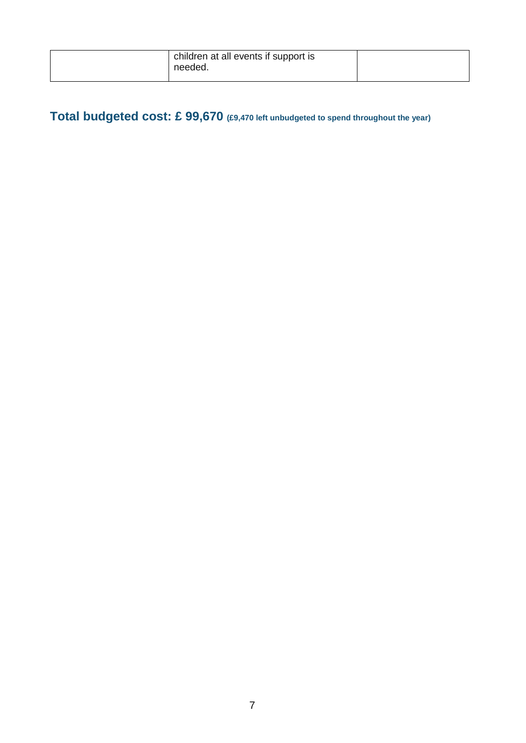| children at all events if support is<br>needed. |  |
|-------------------------------------------------|--|
|                                                 |  |

Total budgeted cost: £ 99,670 (£9,470 left unbudgeted to spend throughout the year)